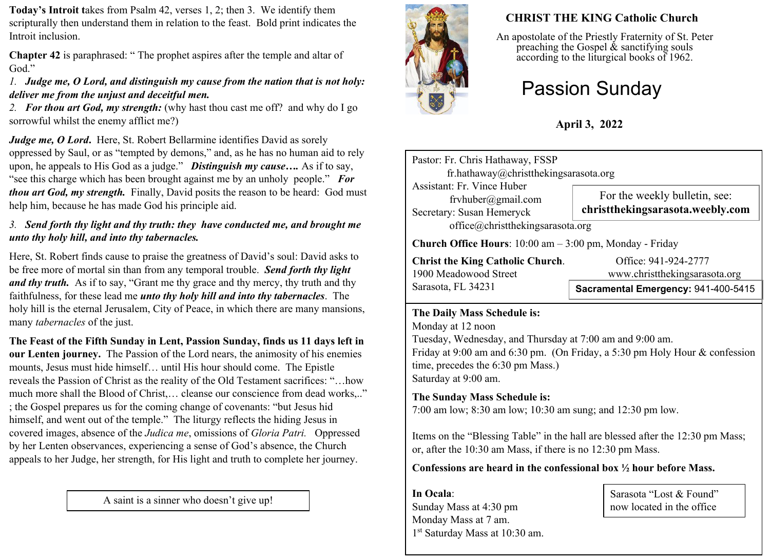**Today's Introit t**akes from Psalm 42, verses 1, 2; then 3. We identify them scripturally then understand them in relation to the feast. Bold print indicates the Introit inclusion.

**Chapter 42** is paraphrased: " The prophet aspires after the temple and altar of God."

### *1. Judge me, O Lord, and distinguish my cause from the nation that is not holy: deliver me from the unjust and deceitful men.*

*2. For thou art God, my strength:* (why hast thou cast me off? and why do I go sorrowful whilst the enemy afflict me?)

*Judge me, O Lord.* Here, St. Robert Bellarmine identifies David as sorely oppressed by Saul, or as "tempted by demons," and, as he has no human aid to rely upon, he appeals to His God as a judge." *Distinguish my cause….* As if to say, "see this charge which has been brought against me by an unholy people." *For thou art God, my strength.* Finally, David posits the reason to be heard: God must help him, because he has made God his principle aid.

### *3. Send forth thy light and thy truth: they have conducted me, and brought me unto thy holy hill, and into thy tabernacles.*

Here, St. Robert finds cause to praise the greatness of David's soul: David asks to be free more of mortal sin than from any temporal trouble. *Send forth thy light and thy truth.* As if to say, "Grant me thy grace and thy mercy, thy truth and thy faithfulness, for these lead me *unto thy holy hill and into thy tabernacles*. The holy hill is the eternal Jerusalem, City of Peace, in which there are many mansions, many *tabernacles* of the just.

**The Feast of the Fifth Sunday in Lent, Passion Sunday, finds us 11 days left in our Lenten journey.** The Passion of the Lord nears, the animosity of his enemies mounts, Jesus must hide himself… until His hour should come. The Epistle reveals the Passion of Christ as the reality of the Old Testament sacrifices: "…how much more shall the Blood of Christ,… cleanse our conscience from dead works,.." ; the Gospel prepares us for the coming change of covenants: "but Jesus hid himself, and went out of the temple." The liturgy reflects the hiding Jesus in covered images, absence of the *Judica me*, omissions of *Gloria Patri.* Oppressed by her Lenten observances, experiencing a sense of God's absence, the Church appeals to her Judge, her strength, for His light and truth to complete her journey.

A saint is a sinner who doesn't give up!



# **CHRIST THE KING Catholic Church**

An apostolate of the Priestly Fraternity of St. Peter preaching the Gospel  $\&$  sanctifying souls according to the liturgical books of 1962.

# Passion Sunday

**April 3, 2022**

| Pastor: Fr. Chris Hathaway, FSSP<br>fr.hathaway@christthekingsarasota.org                                         |                                                                   |  |  |  |  |  |
|-------------------------------------------------------------------------------------------------------------------|-------------------------------------------------------------------|--|--|--|--|--|
| Assistant: Fr. Vince Huber<br>fryhuber@gmail.com<br>Secretary: Susan Hemeryck<br>office@christthekingsarasota.org | For the weekly bulletin, see:<br>christthekingsarasota.weebly.com |  |  |  |  |  |
| <b>Church Office Hours</b> : $10:00$ am $-3:00$ pm, Monday - Friday                                               |                                                                   |  |  |  |  |  |
| <b>Christ the King Catholic Church.</b><br>1900 Meadowood Street                                                  | Office: 941-924-2777<br>www.christthekingsarasota.org             |  |  |  |  |  |
| Sarasota, FL 34231                                                                                                | Sacramental Emergency: 941-400-5415                               |  |  |  |  |  |

#### **The Daily Mass Schedule is:**

Monday at 12 noon Tuesday, Wednesday, and Thursday at 7:00 am and 9:00 am. Friday at 9:00 am and 6:30 pm. (On Friday, a 5:30 pm Holy Hour & confession time, precedes the 6:30 pm Mass.) Saturday at 9:00 am.

## **The Sunday Mass Schedule is:**

7:00 am low; 8:30 am low; 10:30 am sung; and 12:30 pm low.

Items on the "Blessing Table" in the hall are blessed after the 12:30 pm Mass; or, after the 10:30 am Mass, if there is no 12:30 pm Mass.

**Confessions are heard in the confessional box ½ hour before Mass.** 

**In Ocala**: Sunday Mass at 4:30 pm Monday Mass at 7 am. 1 st Saturday Mass at 10:30 am.

Sarasota "Lost & Found" now located in the office